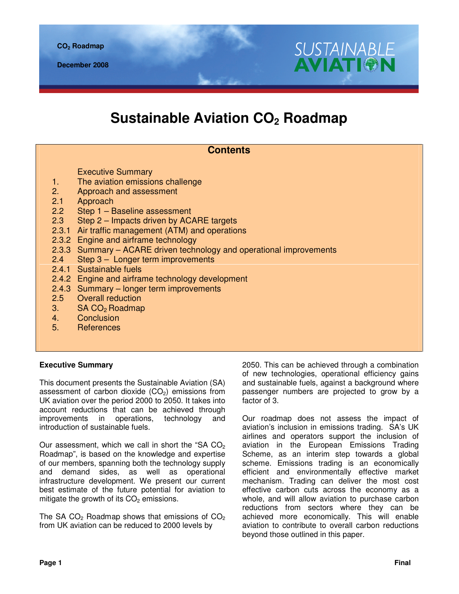# **Sustainable Aviation CO2 Roadmap**

# **Contents**

Executive Summary

- 1. The aviation emissions challenge
- 2. Approach and assessment
- 2.1 Approach
- 2.2 Step 1 Baseline assessment
- 2.3 Step 2 Impacts driven by ACARE targets
- 2.3.1 Air traffic management (ATM) and operations
- 2.3.2 Engine and airframe technology
- 2.3.3 Summary ACARE driven technology and operational improvements
- 2.4 Step 3 Longer term improvements
- 2.4.1 Sustainable fuels
- 2.4.2 Engine and airframe technology development
- 2.4.3 Summary longer term improvements
- 2.5 Overall reduction
- 3.  $SA CO<sub>2</sub> Roadmap$ <br>4. Conclusion
- **Conclusion**
- 5. References

## **Executive Summary**

This document presents the Sustainable Aviation (SA) assessment of carbon dioxide  $(CO<sub>2</sub>)$  emissions from UK aviation over the period 2000 to 2050. It takes into account reductions that can be achieved through improvements in operations, technology and introduction of sustainable fuels.

Our assessment, which we call in short the "SA  $CO<sub>2</sub>$ Roadmap", is based on the knowledge and expertise of our members, spanning both the technology supply and demand sides, as well as operational infrastructure development. We present our current best estimate of the future potential for aviation to mitigate the growth of its  $CO<sub>2</sub>$  emissions.

The SA  $CO<sub>2</sub>$  Roadmap shows that emissions of  $CO<sub>2</sub>$ from UK aviation can be reduced to 2000 levels by

2050. This can be achieved through a combination of new technologies, operational efficiency gains and sustainable fuels, against a background where passenger numbers are projected to grow by a factor of 3.

**SUSTAINABLE** 

**AVIATI®I** 

Our roadmap does not assess the impact of aviation's inclusion in emissions trading. SA's UK airlines and operators support the inclusion of aviation in the European Emissions Trading Scheme, as an interim step towards a global scheme. Emissions trading is an economically efficient and environmentally effective market mechanism. Trading can deliver the most cost effective carbon cuts across the economy as a whole, and will allow aviation to purchase carbon reductions from sectors where they can be achieved more economically. This will enable aviation to contribute to overall carbon reductions beyond those outlined in this paper.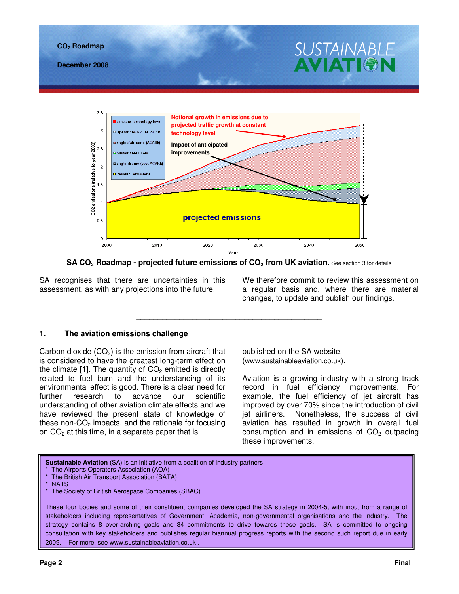

**SA CO2 Roadmap - projected future emissions of CO2 from UK aviation.** See section 3 for details

\_\_\_\_\_\_\_\_\_\_\_\_\_\_\_\_\_\_\_\_\_\_\_\_\_\_\_\_\_\_\_\_\_\_\_\_\_\_\_\_\_\_\_

SA recognises that there are uncertainties in this assessment, as with any projections into the future.

We therefore commit to review this assessment on a regular basis and, where there are material changes, to update and publish our findings.

## **1. The aviation emissions challenge**

Carbon dioxide  $(CO<sub>2</sub>)$  is the emission from aircraft that is considered to have the greatest long-term effect on the climate [1]. The quantity of  $CO<sub>2</sub>$  emitted is directly related to fuel burn and the understanding of its environmental effect is good. There is a clear need for further research to advance our scientific understanding of other aviation climate effects and we have reviewed the present state of knowledge of these non- $CO<sub>2</sub>$  impacts, and the rationale for focusing on  $CO<sub>2</sub>$  at this time, in a separate paper that is

published on the SA website. (www.sustainableaviation.co.uk).

Aviation is a growing industry with a strong track record in fuel efficiency improvements. For example, the fuel efficiency of jet aircraft has improved by over 70% since the introduction of civil jet airliners. Nonetheless, the success of civil aviation has resulted in growth in overall fuel consumption and in emissions of  $CO<sub>2</sub>$  outpacing these improvements.

**Sustainable Aviation** (SA) is an initiative from a coalition of industry partners:

These four bodies and some of their constituent companies developed the SA strategy in 2004-5, with input from a range of stakeholders including representatives of Government, Academia, non-governmental organisations and the industry. The strategy contains 8 over-arching goals and 34 commitments to drive towards these goals. SA is committed to ongoing consultation with key stakeholders and publishes regular biannual progress reports with the second such report due in early 2009. For more, see www.sustainableaviation.co.uk .

The Airports Operators Association (AOA) The British Air Transport Association (BATA)

**NATS** 

The Society of British Aerospace Companies (SBAC)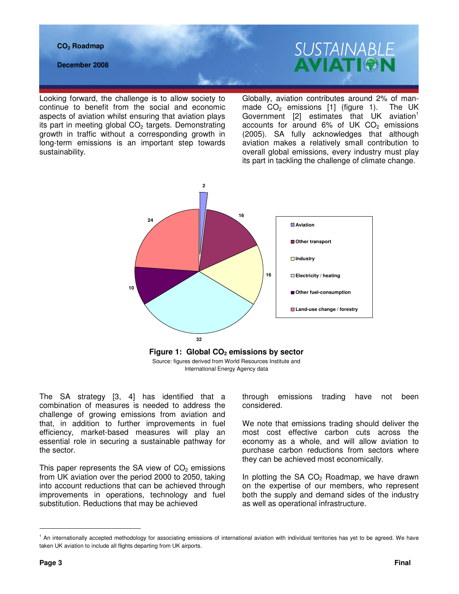#### **CO2 Roadmap**

**December 2008** 

Looking forward, the challenge is to allow society to continue to benefit from the social and economic aspects of aviation whilst ensuring that aviation plays its part in meeting global  $CO<sub>2</sub>$  targets. Demonstrating growth in traffic without a corresponding growth in long-term emissions is an important step towards sustainability.

Globally, aviation contributes around 2% of manmade  $CO<sub>2</sub>$  emissions [1] (figure 1). The UK Government  $[2]$  estimates that UK aviation<sup>1</sup> accounts for around  $6\%$  of UK CO<sub>2</sub> emissions (2005). SA fully acknowledges that although aviation makes a relatively small contribution to overall global emissions, every industry must play its part in tackling the challenge of climate change.

**SUSTAINABLE** 

AVIATI<del>o</del>



The SA strategy [3, 4] has identified that a combination of measures is needed to address the challenge of growing emissions from aviation and that, in addition to further improvements in fuel efficiency, market-based measures will play an essential role in securing a sustainable pathway for the sector.

This paper represents the SA view of  $CO<sub>2</sub>$  emissions from UK aviation over the period 2000 to 2050, taking into account reductions that can be achieved through improvements in operations, technology and fuel substitution. Reductions that may be achieved

through emissions trading have not been considered.

We note that emissions trading should deliver the most cost effective carbon cuts across the economy as a whole, and will allow aviation to purchase carbon reductions from sectors where they can be achieved most economically.

In plotting the SA  $CO<sub>2</sub>$  Roadmap, we have drawn on the expertise of our members, who represent both the supply and demand sides of the industry as well as operational infrastructure.

<sup>&</sup>lt;sup>1</sup> An internationally accepted methodology for associating emissions of international aviation with individual territories has yet to be agreed. We have taken UK aviation to include all flights departing from UK airports.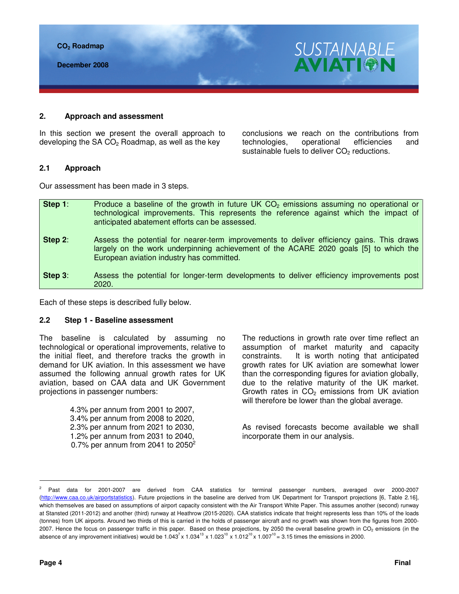

**December 2008** 

## **2. Approach and assessment**

In this section we present the overall approach to developing the SA  $CO<sub>2</sub>$  Roadmap, as well as the key

conclusions we reach on the contributions from technologies, operational efficiencies and sustainable fuels to deliver  $CO<sub>2</sub>$  reductions.

**SUSTAINABLE** 

**AVIATIOI** 

## **2.1 Approach**

Our assessment has been made in 3 steps.

| Step 1: | Produce a baseline of the growth in future UK $CO2$ emissions assuming no operational or<br>technological improvements. This represents the reference against which the impact of<br>anticipated abatement efforts can be assessed. |
|---------|-------------------------------------------------------------------------------------------------------------------------------------------------------------------------------------------------------------------------------------|
| Step 2: | Assess the potential for nearer-term improvements to deliver efficiency gains. This draws<br>largely on the work underpinning achievement of the ACARE 2020 goals [5] to which the<br>European aviation industry has committed.     |
| Step 3: | Assess the potential for longer-term developments to deliver efficiency improvements post<br>2020.                                                                                                                                  |

Each of these steps is described fully below.

## **2.2 Step 1 - Baseline assessment**

The baseline is calculated by assuming no technological or operational improvements, relative to the initial fleet, and therefore tracks the growth in demand for UK aviation. In this assessment we have assumed the following annual growth rates for UK aviation, based on CAA data and UK Government projections in passenger numbers:

> 4.3% per annum from 2001 to 2007, 3.4% per annum from 2008 to 2020, 2.3% per annum from 2021 to 2030, 1.2% per annum from 2031 to 2040, 0.7% per annum from 2041 to  $2050^2$

The reductions in growth rate over time reflect an assumption of market maturity and capacity constraints. It is worth noting that anticipated growth rates for UK aviation are somewhat lower than the corresponding figures for aviation globally, due to the relative maturity of the UK market. Growth rates in  $CO<sub>2</sub>$  emissions from UK aviation will therefore be lower than the global average.

As revised forecasts become available we shall incorporate them in our analysis.

<sup>2</sup> Past data for 2001-2007 are derived from CAA statistics for terminal passenger numbers, averaged over 2000-2007 (http://www.caa.co.uk/airportstatistics). Future projections in the baseline are derived from UK Department for Transport projections [6, Table 2.16], which themselves are based on assumptions of airport capacity consistent with the Air Transport White Paper. This assumes another (second) runway at Stansted (2011-2012) and another (third) runway at Heathrow (2015-2020). CAA statistics indicate that freight represents less than 10% of the loads (tonnes) from UK airports. Around two thirds of this is carried in the holds of passenger aircraft and no growth was shown from the figures from 2000- 2007. Hence the focus on passenger traffic in this paper. Based on these projections, by 2050 the overall baseline growth in CO<sub>2</sub> emissions (in the absence of any improvement initiatives) would be  $1.043<sup>7</sup> \times 1.034<sup>13</sup> \times 1.023<sup>10</sup> \times 1.012<sup>10</sup> \times 1.007<sup>10</sup> = 3.15$  times the emissions in 2000.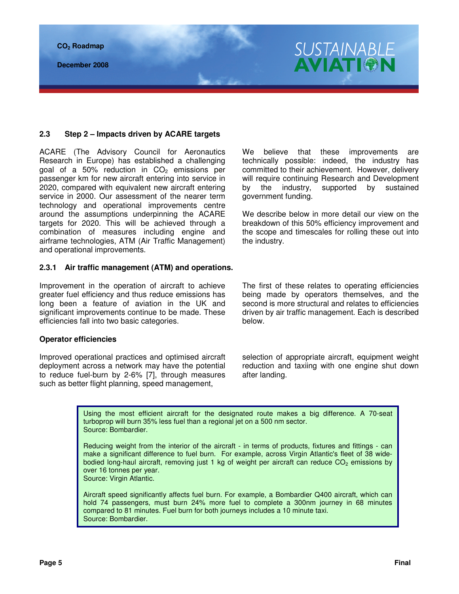**CO2 Roadmap** 

**December 2008** 

## **2.3 Step 2 – Impacts driven by ACARE targets**

ACARE (The Advisory Council for Aeronautics Research in Europe) has established a challenging goal of a 50% reduction in  $CO<sub>2</sub>$  emissions per passenger km for new aircraft entering into service in 2020, compared with equivalent new aircraft entering service in 2000. Our assessment of the nearer term technology and operational improvements centre around the assumptions underpinning the ACARE targets for 2020. This will be achieved through a combination of measures including engine and airframe technologies, ATM (Air Traffic Management) and operational improvements.

#### **2.3.1 Air traffic management (ATM) and operations.**

Improvement in the operation of aircraft to achieve greater fuel efficiency and thus reduce emissions has long been a feature of aviation in the UK and significant improvements continue to be made. These efficiencies fall into two basic categories.

#### **Operator efficiencies**

Improved operational practices and optimised aircraft deployment across a network may have the potential to reduce fuel-burn by 2-6% [7], through measures such as better flight planning, speed management,

We believe that these improvements are technically possible: indeed, the industry has committed to their achievement. However, delivery will require continuing Research and Development by the industry, supported by sustained government funding.

**SUSTAINABLE AVIATI®N** 

We describe below in more detail our view on the breakdown of this 50% efficiency improvement and the scope and timescales for rolling these out into the industry.

The first of these relates to operating efficiencies being made by operators themselves, and the second is more structural and relates to efficiencies driven by air traffic management. Each is described below.

selection of appropriate aircraft, equipment weight reduction and taxiing with one engine shut down after landing.

Using the most efficient aircraft for the designated route makes a big difference. A 70-seat turboprop will burn 35% less fuel than a regional jet on a 500 nm sector. Source: Bombardier.

Reducing weight from the interior of the aircraft - in terms of products, fixtures and fittings - can make a significant difference to fuel burn. For example, across Virgin Atlantic's fleet of 38 widebodied long-haul aircraft, removing just 1 kg of weight per aircraft can reduce CO<sub>2</sub> emissions by over 16 tonnes per year. Source: Virgin Atlantic.

Aircraft speed significantly affects fuel burn. For example, a Bombardier Q400 aircraft, which can hold 74 passengers, must burn 24% more fuel to complete a 300nm journey in 68 minutes compared to 81 minutes. Fuel burn for both journeys includes a 10 minute taxi. Source: Bombardier.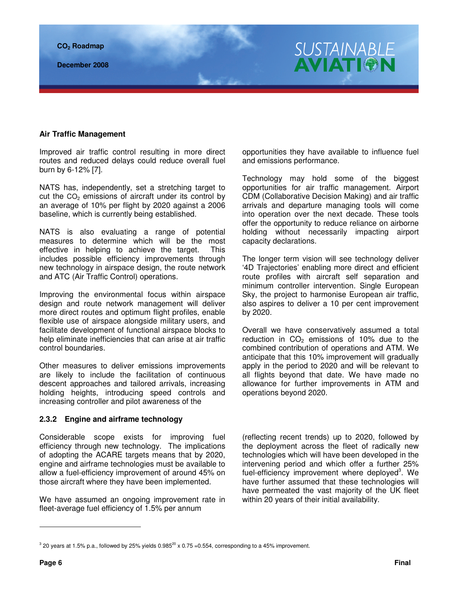#### **Air Traffic Management**

Improved air traffic control resulting in more direct routes and reduced delays could reduce overall fuel burn by 6-12% [7].

NATS has, independently, set a stretching target to cut the  $CO<sub>2</sub>$  emissions of aircraft under its control by an average of 10% per flight by 2020 against a 2006 baseline, which is currently being established.

NATS is also evaluating a range of potential measures to determine which will be the most effective in helping to achieve the target. This includes possible efficiency improvements through new technology in airspace design, the route network and ATC (Air Traffic Control) operations.

Improving the environmental focus within airspace design and route network management will deliver more direct routes and optimum flight profiles, enable flexible use of airspace alongside military users, and facilitate development of functional airspace blocks to help eliminate inefficiencies that can arise at air traffic control boundaries.

Other measures to deliver emissions improvements are likely to include the facilitation of continuous descent approaches and tailored arrivals, increasing holding heights, introducing speed controls and increasing controller and pilot awareness of the

## **2.3.2 Engine and airframe technology**

Considerable scope exists for improving fuel efficiency through new technology. The implications of adopting the ACARE targets means that by 2020, engine and airframe technologies must be available to allow a fuel-efficiency improvement of around 45% on those aircraft where they have been implemented.

We have assumed an ongoing improvement rate in fleet-average fuel efficiency of 1.5% per annum

opportunities they have available to influence fuel and emissions performance.

SUSTAINABLE<br>AVIATION

Technology may hold some of the biggest opportunities for air traffic management. Airport CDM (Collaborative Decision Making) and air traffic arrivals and departure managing tools will come into operation over the next decade. These tools offer the opportunity to reduce reliance on airborne holding without necessarily impacting airport capacity declarations.

The longer term vision will see technology deliver '4D Trajectories' enabling more direct and efficient route profiles with aircraft self separation and minimum controller intervention. Single European Sky, the project to harmonise European air traffic, also aspires to deliver a 10 per cent improvement by 2020.

Overall we have conservatively assumed a total reduction in  $CO<sub>2</sub>$  emissions of 10% due to the combined contribution of operations and ATM. We anticipate that this 10% improvement will gradually apply in the period to 2020 and will be relevant to all flights beyond that date. We have made no allowance for further improvements in ATM and operations beyond 2020.

(reflecting recent trends) up to 2020, followed by the deployment across the fleet of radically new technologies which will have been developed in the intervening period and which offer a further 25% fuel-efficiency improvement where deployed<sup>3</sup>. We have further assumed that these technologies will have permeated the vast majority of the UK fleet within 20 years of their initial availability.

 $^3$  20 years at 1.5% p.a., followed by 25% yields 0.985 $^{20}$  x 0.75 =0.554, corresponding to a 45% improvement.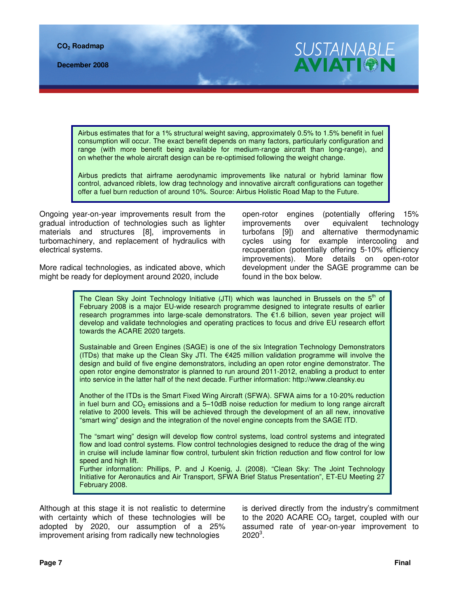Airbus estimates that for a 1% structural weight saving, approximately 0.5% to 1.5% benefit in fuel consumption will occur. The exact benefit depends on many factors, particularly configuration and

Airbus predicts that airframe aerodynamic improvements like natural or hybrid laminar flow control, advanced riblets, low drag technology and innovative aircraft configurations can together offer a fuel burn reduction of around 10%. Source: Airbus Holistic Road Map to the Future.

range (with more benefit being available for medium-range aircraft than long-range), and

on whether the whole aircraft design can be re-optimised following the weight change.

Ongoing year-on-year improvements result from the gradual introduction of technologies such as lighter materials and structures [8], improvements in turbomachinery, and replacement of hydraulics with electrical systems.

More radical technologies, as indicated above, which might be ready for deployment around 2020, include

open-rotor engines (potentially offering 15% improvements over equivalent technology turbofans [9]) and alternative thermodynamic cycles using for example intercooling and recuperation (potentially offering 5-10% efficiency improvements). More details on open-rotor development under the SAGE programme can be found in the box below.

**SUSTAINABLE** 

**AVIATIG** 

The Clean Sky Joint Technology Initiative (JTI) which was launched in Brussels on the  $5<sup>th</sup>$  of February 2008 is a major EU-wide research programme designed to integrate results of earlier research programmes into large-scale demonstrators. The €1.6 billion, seven year project will develop and validate technologies and operating practices to focus and drive EU research effort towards the ACARE 2020 targets.

Sustainable and Green Engines (SAGE) is one of the six Integration Technology Demonstrators (ITDs) that make up the Clean Sky JTI. The €425 million validation programme will involve the design and build of five engine demonstrators, including an open rotor engine demonstrator. The open rotor engine demonstrator is planned to run around 2011-2012, enabling a product to enter into service in the latter half of the next decade. Further information: http://www.cleansky.eu

Another of the ITDs is the Smart Fixed Wing Aircraft (SFWA). SFWA aims for a 10-20% reduction in fuel burn and  $CO<sub>2</sub>$  emissions and a 5–10dB noise reduction for medium to long range aircraft relative to 2000 levels. This will be achieved through the development of an all new, innovative "smart wing" design and the integration of the novel engine concepts from the SAGE ITD.

The "smart wing" design will develop flow control systems, load control systems and integrated flow and load control systems. Flow control technologies designed to reduce the drag of the wing in cruise will include laminar flow control, turbulent skin friction reduction and flow control for low speed and high lift.

Further information: Phillips, P. and J Koenig, J. (2008). "Clean Sky: The Joint Technology Initiative for Aeronautics and Air Transport, SFWA Brief Status Presentation", ET-EU Meeting 27 February 2008.

Although at this stage it is not realistic to determine with certainty which of these technologies will be adopted by 2020, our assumption of a 25% improvement arising from radically new technologies

is derived directly from the industry's commitment to the 2020 ACARE  $CO<sub>2</sub>$  target, coupled with our assumed rate of year-on-year improvement to  $2020^3$ .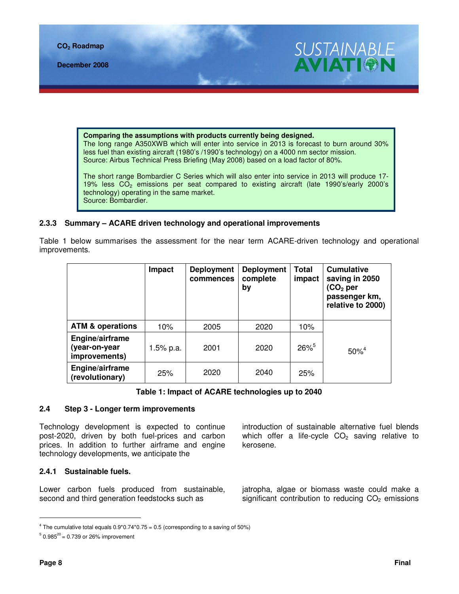

**December 2008** 



**Comparing the assumptions with products currently being designed.** The long range A350XWB which will enter into service in 2013 is forecast to burn around 30% less fuel than existing aircraft (1980's /1990's technology) on a 4000 nm sector mission. Source: Airbus Technical Press Briefing (May 2008) based on a load factor of 80%.

The short range Bombardier C Series which will also enter into service in 2013 will produce 17- 19% less  $CO<sub>2</sub>$  emissions per seat compared to existing aircraft (late 1990's/early 2000's technology) operating in the same market. Source: Bombardier.

## **2.3.3 Summary – ACARE driven technology and operational improvements**

Table 1 below summarises the assessment for the near term ACARE-driven technology and operational improvements.

|                                                   | Impact    | <b>Deployment</b><br>commences | <b>Deployment</b><br>complete<br>by | <b>Total</b><br>impact | <b>Cumulative</b><br>saving in 2050<br>(CO $_{\rm 2}$ per<br>passenger km,<br>relative to 2000) |
|---------------------------------------------------|-----------|--------------------------------|-------------------------------------|------------------------|-------------------------------------------------------------------------------------------------|
| <b>ATM &amp; operations</b>                       | 10%       | 2005                           | 2020                                | 10%                    |                                                                                                 |
| Engine/airframe<br>(year-on-year<br>improvements) | 1.5% p.a. | 2001                           | 2020                                | $26\%^{5}$             | $50\%^{4}$                                                                                      |
| Engine/airframe<br>(revolutionary)                | 25%       | 2020                           | 2040                                | 25%                    |                                                                                                 |

## **Table 1: Impact of ACARE technologies up to 2040**

## **2.4 Step 3 - Longer term improvements**

Technology development is expected to continue post-2020, driven by both fuel-prices and carbon prices. In addition to further airframe and engine technology developments, we anticipate the

introduction of sustainable alternative fuel blends which offer a life-cycle  $CO<sub>2</sub>$  saving relative to kerosene.

#### **2.4.1 Sustainable fuels.**

Lower carbon fuels produced from sustainable, second and third generation feedstocks such as

jatropha, algae or biomass waste could make a significant contribution to reducing  $CO<sub>2</sub>$  emissions

<sup>&</sup>lt;sup>4</sup> The cumulative total equals  $0.9*0.74*0.75 = 0.5$  (corresponding to a saving of 50%)

 $50.985^{20}$  = 0.739 or 26% improvement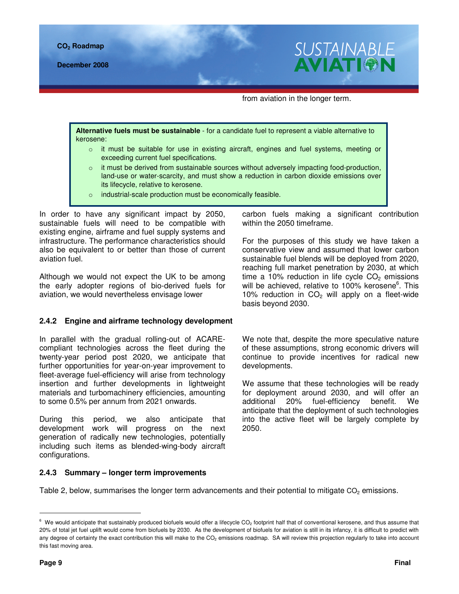

**December 2008** 



from aviation in the longer term.

**Alternative fuels must be sustainable** - for a candidate fuel to represent a viable alternative to kerosene:

- $\circ$  it must be suitable for use in existing aircraft, engines and fuel systems, meeting or exceeding current fuel specifications.
- $\circ$  it must be derived from sustainable sources without adversely impacting food-production, land-use or water-scarcity, and must show a reduction in carbon dioxide emissions over its lifecycle, relative to kerosene.
- o industrial-scale production must be economically feasible.

In order to have any significant impact by 2050, sustainable fuels will need to be compatible with existing engine, airframe and fuel supply systems and infrastructure. The performance characteristics should also be equivalent to or better than those of current aviation fuel.

Although we would not expect the UK to be among the early adopter regions of bio-derived fuels for aviation, we would nevertheless envisage lower

#### **2.4.2 Engine and airframe technology development**

In parallel with the gradual rolling-out of ACAREcompliant technologies across the fleet during the twenty-year period post 2020, we anticipate that further opportunities for year-on-year improvement to fleet-average fuel-efficiency will arise from technology insertion and further developments in lightweight materials and turbomachinery efficiencies, amounting to some 0.5% per annum from 2021 onwards.

During this period, we also anticipate that development work will progress on the next generation of radically new technologies, potentially including such items as blended-wing-body aircraft configurations.

carbon fuels making a significant contribution within the 2050 timeframe.

For the purposes of this study we have taken a conservative view and assumed that lower carbon sustainable fuel blends will be deployed from 2020, reaching full market penetration by 2030, at which time a 10% reduction in life cycle  $CO<sub>2</sub>$  emissions will be achieved, relative to 100% kerosene<sup>6</sup>. This 10% reduction in  $CO<sub>2</sub>$  will apply on a fleet-wide basis beyond 2030.

We note that, despite the more speculative nature of these assumptions, strong economic drivers will continue to provide incentives for radical new developments.

We assume that these technologies will be ready for deployment around 2030, and will offer an additional 20% fuel-efficiency benefit. We anticipate that the deployment of such technologies into the active fleet will be largely complete by 2050.

#### **2.4.3 Summary – longer term improvements**

Table 2, below, summarises the longer term advancements and their potential to mitigate  $CO<sub>2</sub>$  emissions.

 $^6$  We would anticipate that sustainably produced biofuels would offer a lifecycle CO<sub>2</sub> footprint half that of conventional kerosene, and thus assume that 20% of total jet fuel uplift would come from biofuels by 2030. As the development of biofuels for aviation is still in its infancy, it is difficult to predict with any degree of certainty the exact contribution this will make to the  $CO<sub>2</sub>$  emissions roadmap. SA will review this projection regularly to take into account this fast moving area.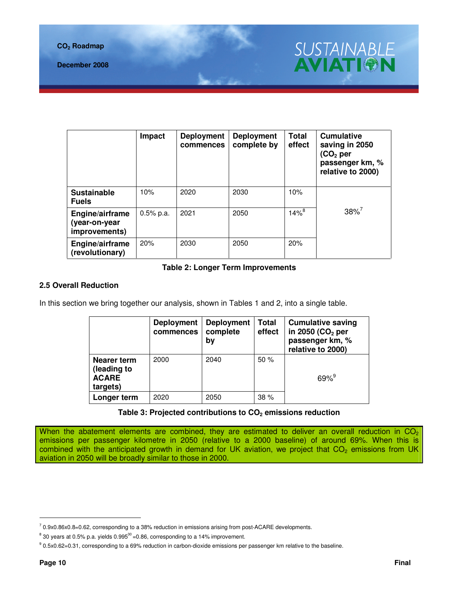**CO2 Roadmap** 



|                                                   | Impact      | <b>Deployment</b><br>commences | <b>Deployment</b><br>complete by | <b>Total</b><br>effect | <b>Cumulative</b><br>saving in 2050<br>$(CO2$ per<br>passenger km, %<br>relative to 2000) |
|---------------------------------------------------|-------------|--------------------------------|----------------------------------|------------------------|-------------------------------------------------------------------------------------------|
| <b>Sustainable</b><br><b>Fuels</b>                | 10%         | 2020                           | 2030                             | 10%                    |                                                                                           |
| Engine/airframe<br>(year-on-year<br>improvements) | $0.5%$ p.a. | 2021                           | 2050                             | $14\%^{8}$             | $38\%$ <sup>7</sup>                                                                       |
| Engine/airframe<br>(revolutionary)                | 20%         | 2030                           | 2050                             | 20%                    |                                                                                           |

## **Table 2: Longer Term Improvements**

## **2.5 Overall Reduction**

In this section we bring together our analysis, shown in Tables 1 and 2, into a single table.

|                                                        | <b>Deployment</b><br>commences | <b>Deployment</b><br>complete<br>by | Total<br>effect | <b>Cumulative saving</b><br>in 2050 ( $CO2$ per<br>passenger km, %<br>relative to 2000) |
|--------------------------------------------------------|--------------------------------|-------------------------------------|-----------------|-----------------------------------------------------------------------------------------|
| Nearer term<br>(leading to<br><b>ACARE</b><br>targets) | 2000                           | 2040                                | 50%             | $69%^{9}$                                                                               |
| Longer term                                            | 2020                           | 2050                                | 38 %            |                                                                                         |

#### **Table 3: Projected contributions to CO2 emissions reduction**

When the abatement elements are combined, they are estimated to deliver an overall reduction in  $CO<sub>2</sub>$ emissions per passenger kilometre in 2050 (relative to a 2000 baseline) of around 69%. When this is combined with the anticipated growth in demand for UK aviation, we project that  $CO<sub>2</sub>$  emissions from UK aviation in 2050 will be broadly similar to those in 2000.

 $^7$  0.9x0.86x0.8=0.62, corresponding to a 38% reduction in emissions arising from post-ACARE developments.

 $^8$  30 years at 0.5% p.a. yields 0.995 $^{30}$ =0.86, corresponding to a 14% improvement.

<sup>9 0.5</sup>x0.62=0.31, corresponding to a 69% reduction in carbon-dioxide emissions per passenger km relative to the baseline.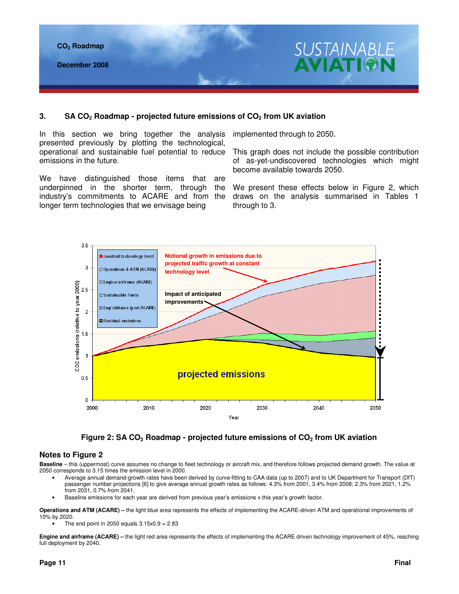

## **3. SA CO2 Roadmap - projected future emissions of CO2 from UK aviation**

In this section we bring together the analysis presented previously by plotting the technological, operational and sustainable fuel potential to reduce emissions in the future.

We have distinguished those items that are underpinned in the shorter term, through the industry's commitments to ACARE and from the longer term technologies that we envisage being

implemented through to 2050.

This graph does not include the possible contribution of as-yet-undiscovered technologies which might become available towards 2050.

We present these effects below in Figure 2, which draws on the analysis summarised in Tables 1 through to 3.





#### **Notes to Figure 2**

**Baseline** – this (uppermost) curve assumes no change to fleet technology or aircraft mix, and therefore follows projected demand growth. The value at 2050 corresponds to 3.15 times the emission level in 2000.

- Average annual demand-growth rates have been derived by curve-fitting to CAA data (up to 2007) and to UK Department for Transport (DfT) passenger number projections [6] to give average annual growth rates as follows: 4.3% from 2001, 3.4% from 2008; 2.3% from 2021, 1.2% from 2031, 0.7% from 2041.
- Baseline emissions for each year are derived from previous year's emissions x this year's growth factor.

**Operations and ATM (ACARE) –** the light blue area represents the effects of implementing the ACARE-driven ATM and operational improvements of 10% by 2020.

The end point in 2050 equals  $3.15x0.9 = 2.83$ 

**Engine and airframe (ACARE) –** the light red area represents the effects of implementing the ACARE driven technology improvement of 45%, reaching full deployment by 2040.